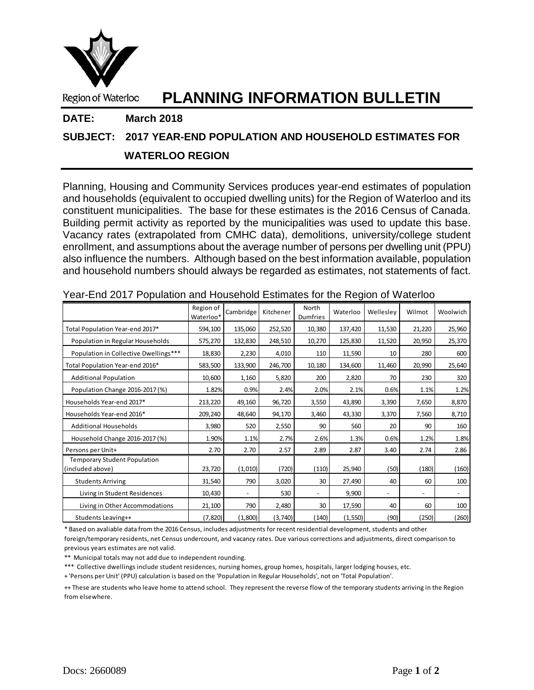

# Region of Waterloo **PLANNING INFORMATION BULLETIN**

### **DATE: March 2018**

## **SUBJECT: 2017 YEAR-END POPULATION AND HOUSEHOLD ESTIMATES FOR**

## **WATERLOO REGION**

Planning, Housing and Community Services produces year-end estimates of population and households (equivalent to occupied dwelling units) for the Region of Waterloo and its constituent municipalities. The base for these estimates is the 2016 Census of Canada. Building permit activity as reported by the municipalities was used to update this base. Vacancy rates (extrapolated from CMHC data), demolitions, university/college student enrollment, and assumptions about the average number of persons per dwelling unit (PPU) also influence the numbers. Although based on the best information available, population and household numbers should always be regarded as estimates, not statements of fact.

|                                                         | Region of<br>Waterloo* | Cambridge                | Kitchener | North<br><b>Dumfries</b> | Waterloo | Welleslev                | Wilmot                   | Woolwich                 |
|---------------------------------------------------------|------------------------|--------------------------|-----------|--------------------------|----------|--------------------------|--------------------------|--------------------------|
| Total Population Year-end 2017*                         | 594,100                | 135,060                  | 252,520   | 10,380                   | 137,420  | 11,530                   | 21,220                   | 25,960                   |
| Population in Regular Households                        | 575,270                | 132,830                  | 248,510   | 10,270                   | 125,830  | 11,520                   | 20,950                   | 25,370                   |
| Population in Collective Dwellings***                   | 18,830                 | 2,230                    | 4,010     | 110                      | 11,590   | 10                       | 280                      | 600                      |
| Total Population Year-end 2016*                         | 583,500                | 133,900                  | 246,700   | 10,180                   | 134,600  | 11,460                   | 20,990                   | 25,640                   |
| <b>Additional Population</b>                            | 10,600                 | 1,160                    | 5,820     | 200                      | 2,820    | 70                       | 230                      | 320                      |
| Population Change 2016-2017 (%)                         | 1.82%                  | 0.9%                     | 2.4%      | 2.0%                     | 2.1%     | 0.6%                     | 1.1%                     | 1.2%                     |
| Households Year-end 2017*                               | 213,220                | 49,160                   | 96,720    | 3,550                    | 43,890   | 3,390                    | 7,650                    | 8,870                    |
| Households Year-end 2016*                               | 209,240                | 48,640                   | 94,170    | 3,460                    | 43,330   | 3,370                    | 7,560                    | 8,710                    |
| <b>Additional Households</b>                            | 3,980                  | 520                      | 2,550     | 90                       | 560      | 20                       | 90                       | 160                      |
| Household Change 2016-2017 (%)                          | 1.90%                  | 1.1%                     | 2.7%      | 2.6%                     | 1.3%     | 0.6%                     | 1.2%                     | 1.8%                     |
| Persons per Unit+                                       | 2.70                   | 2.70                     | 2.57      | 2.89                     | 2.87     | 3.40                     | 2.74                     | 2.86                     |
| <b>Temporary Student Population</b><br>(included above) | 23,720                 | (1,010)                  | (720)     | (110)                    | 25,940   | (50)                     | (180)                    | (160)                    |
| <b>Students Arriving</b>                                | 31,540                 | 790                      | 3,020     | 30                       | 27,490   | 40                       | 60                       | 100                      |
| Living in Student Residences                            | 10,430                 | $\overline{\phantom{a}}$ | 530       | $\overline{\phantom{a}}$ | 9,900    | $\overline{\phantom{a}}$ | $\overline{\phantom{a}}$ | $\overline{\phantom{a}}$ |
| Living in Other Accommodations                          | 21,100                 | 790                      | 2,480     | 30                       | 17,590   | 40                       | 60                       | 100                      |
| Students Leaving++                                      | (7, 820)               | (1,800)                  | (3,740)   | (140)                    | (1, 550) | (90)                     | (250)                    | (260)                    |

|  |  |  | Year-End 2017 Population and Household Estimates for the Region of Waterloo |
|--|--|--|-----------------------------------------------------------------------------|
|--|--|--|-----------------------------------------------------------------------------|

\* Based on avaliable data from the 2016 Census, includes adjustments for recent residential development, students and other foreign/temporary residents, net Census undercount, and vacancy rates. Due various corrections and adjustments, direct comparison to previous years estimates are not valid.

\*\* Municipal totals may not add due to independent rounding.

\*\*\* Collective dwellings include student residences, nursing homes, group homes, hospitals, larger lodging houses, etc.

+ 'Persons per Unit' (PPU) calculation is based on the 'Population in Regular Households', not on 'Total Population'.

++ These are students who leave home to attend school. They represent the reverse flow of the temporary students arriving in the Region from elsewhere.